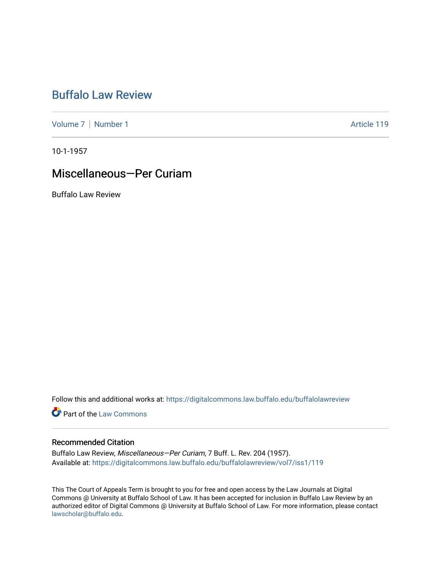# [Buffalo Law Review](https://digitalcommons.law.buffalo.edu/buffalolawreview)

[Volume 7](https://digitalcommons.law.buffalo.edu/buffalolawreview/vol7) | [Number 1](https://digitalcommons.law.buffalo.edu/buffalolawreview/vol7/iss1) Article 119

10-1-1957

## Miscellaneous—Per Curiam

Buffalo Law Review

Follow this and additional works at: [https://digitalcommons.law.buffalo.edu/buffalolawreview](https://digitalcommons.law.buffalo.edu/buffalolawreview?utm_source=digitalcommons.law.buffalo.edu%2Fbuffalolawreview%2Fvol7%2Fiss1%2F119&utm_medium=PDF&utm_campaign=PDFCoverPages) 

**Part of the [Law Commons](http://network.bepress.com/hgg/discipline/578?utm_source=digitalcommons.law.buffalo.edu%2Fbuffalolawreview%2Fvol7%2Fiss1%2F119&utm_medium=PDF&utm_campaign=PDFCoverPages)** 

### Recommended Citation

Buffalo Law Review, Miscellaneous—Per Curiam, 7 Buff. L. Rev. 204 (1957). Available at: [https://digitalcommons.law.buffalo.edu/buffalolawreview/vol7/iss1/119](https://digitalcommons.law.buffalo.edu/buffalolawreview/vol7/iss1/119?utm_source=digitalcommons.law.buffalo.edu%2Fbuffalolawreview%2Fvol7%2Fiss1%2F119&utm_medium=PDF&utm_campaign=PDFCoverPages)

This The Court of Appeals Term is brought to you for free and open access by the Law Journals at Digital Commons @ University at Buffalo School of Law. It has been accepted for inclusion in Buffalo Law Review by an authorized editor of Digital Commons @ University at Buffalo School of Law. For more information, please contact [lawscholar@buffalo.edu](mailto:lawscholar@buffalo.edu).